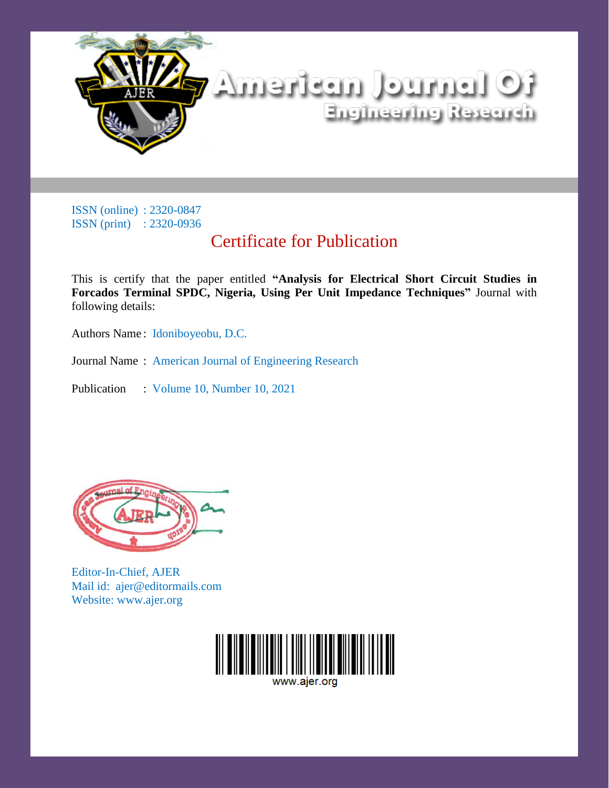

ISSN (online) : 2320-0847 ISSN (print) : 2320-0936

### Certificate for Publication

This is certify that the paper entitled **"Analysis for Electrical Short Circuit Studies in Forcados Terminal SPDC, Nigeria, Using Per Unit Impedance Techniques"** Journal with following details:

Authors Name : Idoniboyeobu, D.C.

Journal Name : American Journal of Engineering Research

Publication : Volume 10, Number 10, 2021



Editor-In-Chief, AJER Mail id: ajer@editormails.com Website: www.ajer.org



www.aier.org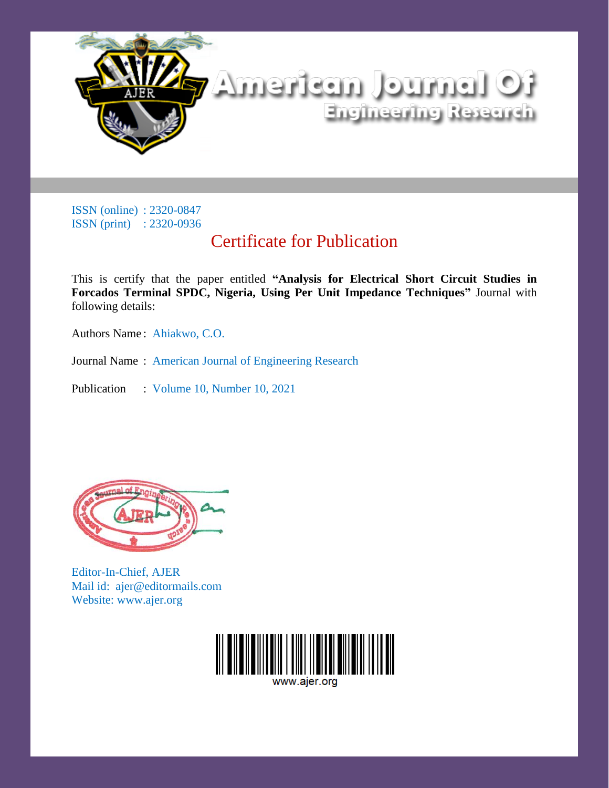

ISSN (online) : 2320-0847 ISSN (print) : 2320-0936

### Certificate for Publication

This is certify that the paper entitled **"Analysis for Electrical Short Circuit Studies in Forcados Terminal SPDC, Nigeria, Using Per Unit Impedance Techniques"** Journal with following details:

Authors Name : Ahiakwo, C.O.

Journal Name : American Journal of Engineering Research

Publication : Volume 10, Number 10, 2021



Editor-In-Chief, AJER Mail id: ajer@editormails.com Website: www.ajer.org



www.aier.org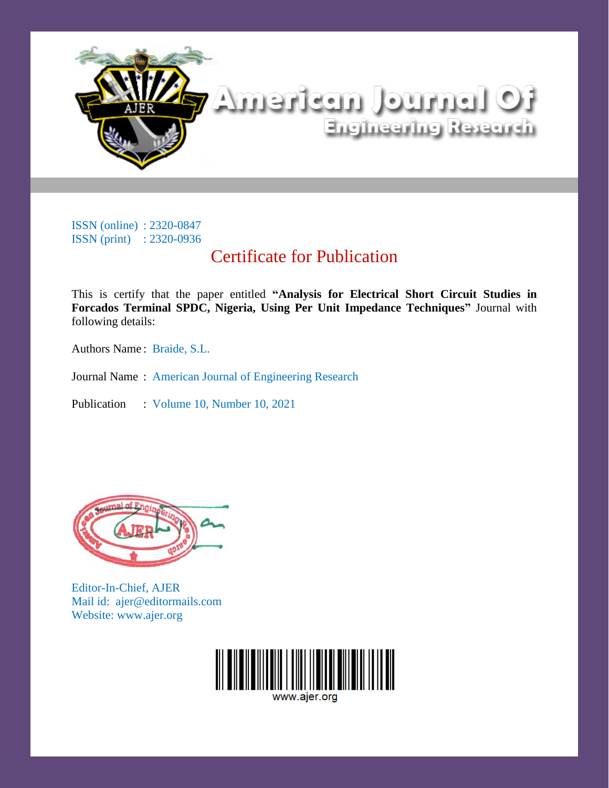

# tO listriucl tussfrettik Engineering Research

ISSN (online) : 2320-0847 ISSN (print) : 2320-0936

## Certificate for Publication

This is certify that the paper entitled **"Analysis for Electrical Short Circuit Studies in Forcados Terminal SPDC, Nigeria, Using Per Unit Impedance Techniques"** Journal with following details:

Authors Name : Braide, S.L.

Journal Name : American Journal of Engineering Research

Publication : Volume 10, Number 10, 2021



Editor-In-Chief, AJER Mail id: ajer@editormails.com Website: www.ajer.org